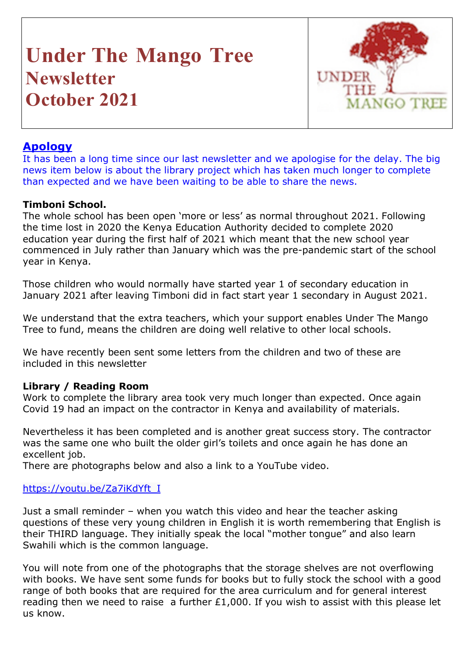# **Under The Mango Tree Newsletter October 2021**



# **Apology**

It has been a long time since our last newsletter and we apologise for the delay. The big news item below is about the library project which has taken much longer to complete than expected and we have been waiting to be able to share the news.

# **Timboni School.**

The whole school has been open 'more or less' as normal throughout 2021. Following the time lost in 2020 the Kenya Education Authority decided to complete 2020 education year during the first half of 2021 which meant that the new school year commenced in July rather than January which was the pre-pandemic start of the school year in Kenya.

Those children who would normally have started year 1 of secondary education in January 2021 after leaving Timboni did in fact start year 1 secondary in August 2021.

We understand that the extra teachers, which your support enables Under The Mango Tree to fund, means the children are doing well relative to other local schools.

We have recently been sent some letters from the children and two of these are included in this newsletter

# **Library / Reading Room**

Work to complete the library area took very much longer than expected. Once again Covid 19 had an impact on the contractor in Kenya and availability of materials.

Nevertheless it has been completed and is another great success story. The contractor was the same one who built the older girl's toilets and once again he has done an excellent job.

There are photographs below and also a link to a YouTube video.

#### https://youtu.be/Za7iKdYft\_I

Just a small reminder – when you watch this video and hear the teacher asking questions of these very young children in English it is worth remembering that English is their THIRD language. They initially speak the local "mother tongue" and also learn Swahili which is the common language.

You will note from one of the photographs that the storage shelves are not overflowing with books. We have sent some funds for books but to fully stock the school with a good range of both books that are required for the area curriculum and for general interest reading then we need to raise a further  $£1,000$ . If you wish to assist with this please let us know.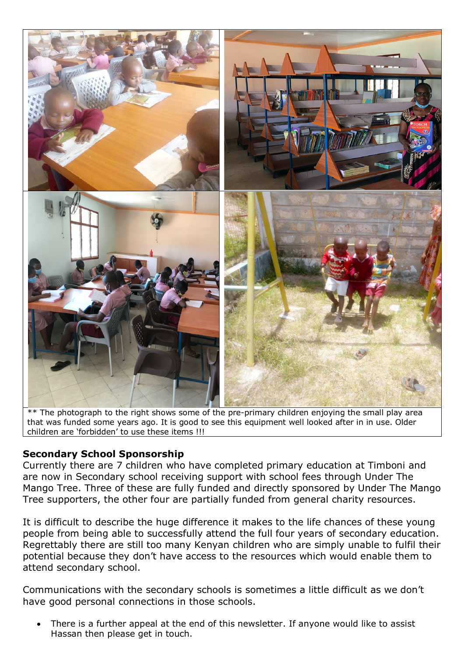

 $**$  The photograph to the right shows some of the pre-primary children enjoying the small play area that was funded some years ago. It is good to see this equipment well looked after in in use. Older children are 'forbidden' to use these items !!!

# **Secondary School Sponsorship**

Currently there are 7 children who have completed primary education at Timboni and are now in Secondary school receiving support with school fees through Under The Mango Tree. Three of these are fully funded and directly sponsored by Under The Mango Tree supporters, the other four are partially funded from general charity resources.

It is difficult to describe the huge difference it makes to the life chances of these young people from being able to successfully attend the full four years of secondary education. Regrettably there are still too many Kenyan children who are simply unable to fulfil their potential because they don't have access to the resources which would enable them to attend secondary school.

Communications with the secondary schools is sometimes a little difficult as we don't have good personal connections in those schools.

There is a further appeal at the end of this newsletter. If anyone would like to assist Hassan then please get in touch.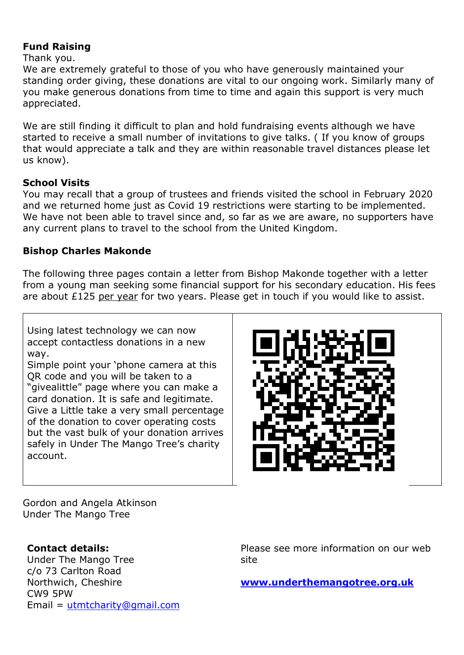#### **Fund Raising**

Thank you.

We are extremely grateful to those of you who have generously maintained your standing order giving, these donations are vital to our ongoing work. Similarly many of you make generous donations from time to time and again this support is very much appreciated.

We are still finding it difficult to plan and hold fundraising events although we have started to receive a small number of invitations to give talks. ( If you know of groups that would appreciate a talk and they are within reasonable travel distances please let us know).

#### **School Visits**

You may recall that a group of trustees and friends visited the school in February 2020 and we returned home just as Covid 19 restrictions were starting to be implemented. We have not been able to travel since and, so far as we are aware, no supporters have any current plans to travel to the school from the United Kingdom.

#### **Bishop Charles Makonde**

The following three pages contain a letter from Bishop Makonde together with a letter from a young man seeking some financial support for his secondary education. His fees are about £125 per year for two years. Please get in touch if you would like to assist.

Using latest technology we can now accept contactless donations in a new way.

Simple point your 'phone camera at this QR code and you will be taken to a "givealittle" page where you can make a card donation. It is safe and legitimate. Give a Little take a very small percentage of the donation to cover operating costs but the vast bulk of your donation arrives safely in Under The Mango Tree's charity account.



Gordon and Angela Atkinson Under The Mango Tree

# **Contact details:**

Under The Mango Tree c/o 73 Carlton Road Northwich, Cheshire CW9 5PW Email = utmtcharity@gmail.com Please see more information on our web site

**www.underthemangotree.org.uk**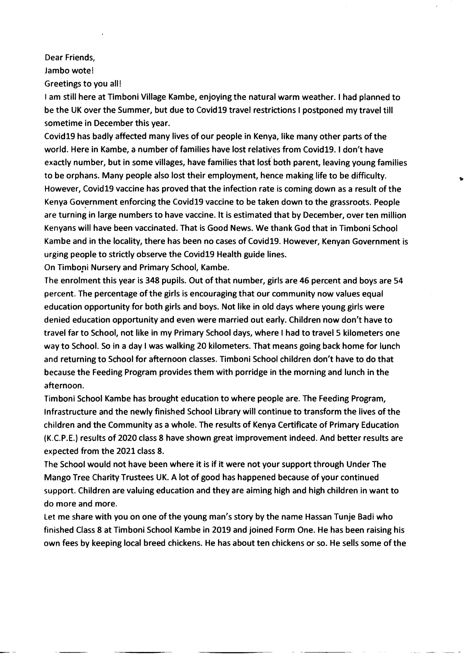Dear Friends,

Jambo wote!

Greetings to you all!

I am still here at Timboni Village Kambe, enjoying the natural warm weather. I had planned to be the UK over the Summer, but due to Covid19 travel restrictions I postponed my travel till sometime in December this year.

Covid19 has badly affected many lives of our people in Kenya, like many other parts of the world. Here in Kambe, a number of families have lost relatives from Covid19. I don't have exactly number, but in some villages, have families that lost both parent, leaving young families to be orphans. Many people also lost their employment, hence making life to be difficulty. However, Covid19 vaccine has proved that the infection rate is coming down as a result of the Kenya Government enforcing the Covid19 vaccine to be taken down to the grassroots. People are turning in large numbers to have vaccine. It is estimated that by December, over ten million Kenyans will have been vaccinated. That is Good News. We thank God that in Timboni School Kambe and in the locality, there has been no cases of Covid19. However, Kenyan Government is urging people to strictly observe the Covid19 Health guide lines.

On Timboni Nursery and Primary School, Kambe.

The enrolment this year is 348 pupils. Out of that number, girls are 46 percent and boys are 54 percent. The percentage of the girls is encouraging that our community now values equal education opportunity for both girls and boys. Not like in old days where young girls were denied education opportunity and even were married out early. Children now don't have to travel far to School, not like in my Primary School days, where I had to travel 5 kilometers one way to School. So in a day I was walking 20 kilometers. That means going back home for lunch and returning to School for afternoon classes. Timboni School children don't have to do that because the Feeding Program provides them with porridge in the morning and lunch in the afternoon.

Timboni School Kambe has brought education to where people are. The Feeding Program, Infrastructure and the newly finished School Library will continue to transform the lives of the children and the Community as a whole. The results of Kenya Certificate of Primary Education (K.C.P.E.) results of 2020 class 8 have shown great improvement indeed. And better results are expected from the 2021 class 8.

The School would not have been where it is if it were not your support through Under The Mango Tree Charity Trustees UK. A lot of good has happened because of your continued support. Children are valuing education and they are aiming high and high children in want to do more and more.

Let me share with you on one of the young man's story by the name Hassan Tunje Badi who finished Class 8 at Timboni School Kambe in 2019 and joined Form One. He has been raising his own fees by keeping local breed chickens. He has about ten chickens or so. He sells some of the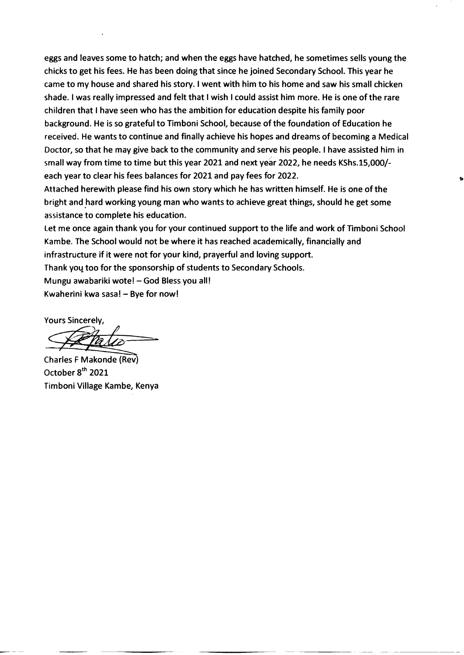eggs and leaves some to hatch; and when the eggs have hatched, he sometimes sells young the chicks to get his fees. He has been doing that since he joined Secondary School. This year he came to my house and shared his story. I went with him to his home and saw his small chicken shade. I was really impressed and felt that I wish I could assist him more. He is one of the rare children that I have seen who has the ambition for education despite his family poor background. He is so grateful to Timboni School, because of the foundation of Education he received. He wants to continue and finally achieve his hopes and dreams of becoming a Medical Doctor, so that he may give back to the community and serve his people. I have assisted him in small way from time to time but this year 2021 and next year 2022, he needs KShs.15,000/each year to clear his fees balances for 2021 and pay fees for 2022.

Attached herewith please find his own story which he has written himself. He is one of the bright and hard working young man who wants to achieve great things, should he get some assistance to complete his education.

Let me once again thank you for your continued support to the life and work of Timboni School Kambe. The School would not be where it has reached academically, financially and infrastructure if it were not for your kind, prayerful and loving support. Thank you too for the sponsorship of students to Secondary Schools. Mungu awabariki wote! - God Bless you all! Kwaherini kwa sasa! - Bye for now!

**Yours Sincerely,** 

Charles F Makonde (Rev) October 8<sup>th</sup> 2021 Timboni Village Kambe, Kenya